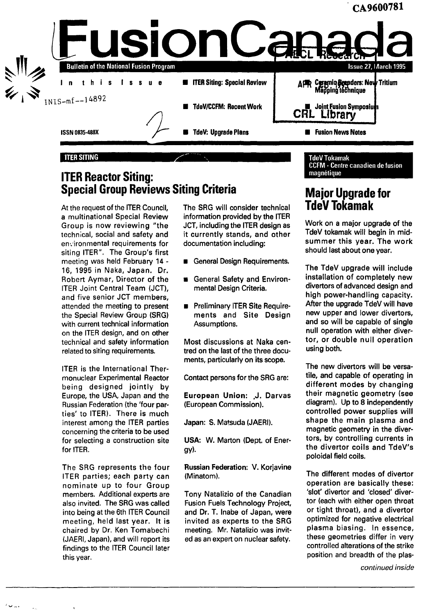

## **ITER Reactor Siting: Special Group Reviews Siting Criteria**

At the request of the ITER Council, a multinational Special Review Group is now reviewing "the technical, social and safety and environmental requirements for siting ITER". The Group's first meeting was held February 14 - 16, 1995 in Naka, Japan. Dr. Robert Aymar, Director of the ITER Joint Central Team (JCT), and five senior JCT members, attended the meeting to present the Special Review Group (SRG) with current technical information on the ITER design, and on other technical and safety information related to siting requirements.

ITER is the International Thermonuclear Experimental Reactor being designed jointly by Europe, the USA, Japan and the Russian Federation (the 'four parties' to ITER). There is much interest among the ITER parties concerning the criteria to be used for selecting a construction site for ITER.

The SRG represents the four ITER parties; each party can nominate up to four Group members. Additional experts are also invited. The SRG was called into being at the 6th ITER Council meeting, held last year. It is chaired by Dr. Ken Tomabechi (JAERI, Japan), and will report its findings to the ITER Council later this year.

The SRG will consider technical information provided by the ITER JCT, including the ITER design as it currently stands, and other documentation including:

- **General Design Requirements.**
- General Safety and Environmental Design Criteria.
- Preliminary ITER Site Requirements and Site Design Assumptions.

Most discussions at Naka centred on the last of the three documents, particularly on its scope.

Contact persons for the SRG are:

European Union: J. Darvas (European Commission).

Japan: S. Matsuda (JAERI).

USA: W. Marton (Dept. of Energy)-

Russian Federation: V. Korjavine (Minatom).

Tony Natalizio of the Canadian Fusion Fuels Technology Project, and Dr. T. Inabe of Japan, were invited as experts to the SRG meeting. Mr. Natalizio was invited as an expert on nuclear safety.

#### TdeV Tokamak CCFM - Centre canadien de fusion magnétique

# **Major Upgrade for TdeV Tokamak**

Work on a major upgrade of the TdeV tokamak will begin in midsummer this year. The work should last about one year.

The TdeV upgrade will include installation of completely new divertors of advanced design and high power-handling capacity. After the upgrade TdeV will have new upper and lower divertors, and so will be capable of single null operation with either divertor, or double null operation using both.

The new divertors will be versatile, and capable of operating in different modes by changing their magnetic geometry (see diagram). Up to 8 independently controlled power supplies will shape the main plasma and magnetic geometry in the divertors, by controlling currents in the divertor coils and TdeV's poloidal field coils.

The different modes of divertor operation are basically these: 'slot' divertor and 'closed' divertor (each with either open throat or tight throat), and a divertor optimized for negative electrical plasma biasing. In essence, these geometries differ in very controlled alterations of the strike position and breadth of the plas-

continued inside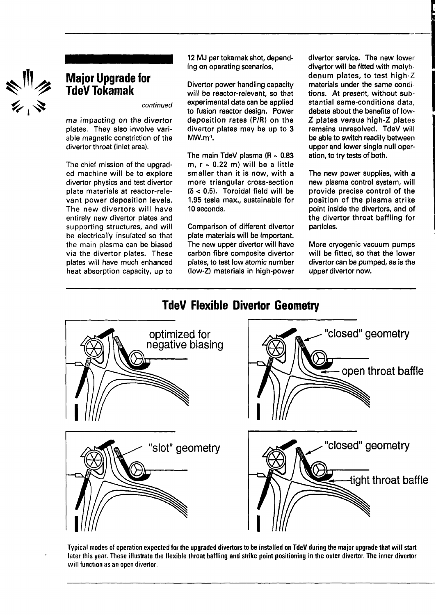

## **Major Upgrade for TdeVTokamak**

continued

ma impacting on the divertor plates. They also involve variable magnetic constriction of the divertor throat (inlet area).

The chief mission of the upgraded machine will be to explore divertor physics and test divertor plate materials at reactor-relevant power deposition levels. The new divertors will have entirely new divertor plates and supporting structures, and will be electrically insulated so that the main plasma can be biased via the divertor plates. These plates will have much enhanced heat absorption capacity, up to

12 MJ per tokamak shot, depending on operating scenarios.

Divertor power handling capacity will be reactor-relevant, so that experimental data can be applied to fusion reactor design. Power deposition rates (P/R) on the divertor plates may be up to 3 MW.m<sup>.</sup>l.

The main TdeV plasma ( $R \sim 0.83$ m,  $r \sim 0.22$  m) will be a little smaller than it is now, with a more triangular cross-section  $(δ < 0.5)$ . Toroidal field will be 1.95 tesla max., sustainable for 10 seconds.

Comparison of different divertor plate materials will be important. The new upper divertor will have carbon fibre composite divertor plates, to test low atomic number (low-Z) materials in high-power

**TdeV Flexible Divertor Geometry**

divertor service. The new lower divertor will be fitted with molybdenum plates, to test high-Z materials under the same conditions. At present, without substantial same-conditions data, debate about the benefits of low-Z plates versus high-Z plates remains unresolved. TdeV will be able to switch readily between upper and lower single null operation, to try tests of both.

The new power supplies, with a new plasma control system, will provide precise control of the position of the plasma strike point inside the divertors, and of the divertor throat baffling for particles.

More cryogenic vacuum pumps will be fitted, so that the lower divertor can be pumped, as is the upper divertor now.

# optimized for negative biasing "closed" geometry open throat baffle "slot" geometry  $\blacksquare$   $\blacksquare$   $\blacksquare$  "closed" geometry tight throat baffle

Typical modes of operation expected for the upgraded divertors to be installed on TdeV during the major upgrade that will start later this year. These illustrate the flexible throat baffling and strike point positioning in the outer divertor. The inner divertor will function as an open divertor.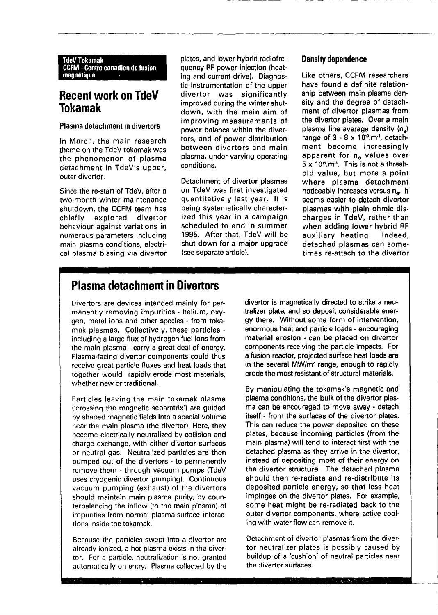TdeVTokamak CCFM - Centre canadien de fusion magnétique

## **Recent work on TdeV Tokamak**

### **Plasma detachment in divertors**

In March, the main research theme on the TdeV tokamak was the phenomenon of plasma detachment in TdeV's upper, outer divertor.

Since the re-start of TdeV, after a two-month winter maintenance shutdown, the CCFM team has chiefly explored divertor behaviour against variations in numerous parameters including main plasma conditions, electrical plasma biasing via divertor

plates, and lower hybrid radiofrequency RF power injection (heating and current drive). Diagnostic instrumentation of the upper divertor was significantly improved during the winter shutdown, with the main aim of improving measurements of power balance within the divertors, and of power distribution between divertors and main plasma, under varying operating conditions.

Detachment of divertor plasmas on TdeV was first investigated quantitatively last year. It is being systematically characterized this year in a campaign scheduled to end in summer 1995. After that, TdeV will be shut down for a major upgrade (see separate article).

#### **Density dependence**

Like others, CCFM researchers have found a definite relationship between main plasma density and the degree of detachment of divertor plasmas from the divertor plates. Over a main plasma line average density  $(n_a)$ range of 3 - 8 x 10<sup>19</sup>.m<sup>3</sup>, detachment become increasingly apparent for n<sub>e</sub> values over  $5 \times 10^{19}$ . This is not a threshold value, but more a point where plasma detachment noticeably increases versus n<sub>e</sub>. It seems easier to detach divertor plasmas with plain ohmic discharges in TdeV, rather than when adding lower hybrid RF auxiliary heating. Indeed, detached plasmas can sometimes re-attach to the divertor

# **Plasma detachment in Divertors**

Divertors are devices intended mainly for permanently removing impurities - helium, oxygen, metal ions and other species - from tokamak plasmas. Collectively, these particles including a large flux of hydrogen fuel ions from the main plasma - carry a great deal of energy. Plasma-facing divertor components could thus receive great particle fluxes and heat loads that together would rapidly erode most materials, whether new or traditional.

Particles leaving the main tokamak plasma ('crossing the magnetic separatrix') are guided by shaped magnetic fields into a special volume near the main plasma (the divertor). Here, they become electrically neutralized by collision and charge exchange, with either divertor surfaces or neutral gas. Neutralized particles are then pumped out of the divertors - to permanently remove them - through vacuum pumps (TdeV uses cryogenic divertor pumping). Continuous vacuum pumping (exhaust) of the divertors should maintain main plasma purity, by counterbalancing the inflow (to the main plasma) of impurities from normal plasma-surface interactions inside the tokamak.

Because the particles swept into a divertor are already ionized, a hot plasma exists in the divertor. For a particle, neutralization is not granted automatically on entry. Plasma collected by the divertor is magnetically directed to strike a neutralizer plate, and so deposit considerable energy there. Without some form of intervention, enormous heat and particle loads - encouraging material erosion - can be placed on divertor components receiving the particle impacts. For a fusion reactor, projected surface heat loads are in the several MW/m<sup>2</sup> range, enough to rapidly erode the most resistant of structural materials.

By manipulating the tokamak's magnetic and plasma conditions, the bulk of the divertor plasma can be encouraged to move away - detach itself - from the surfaces of the divertor plates. This can reduce the power deposited on these plates, because incoming particles (from the main plasma) will tend to interact first with the detached plasma as they arrive in the divertor, instead of depositing most of their energy on the divertor structure. The detached plasma should then re-radiate and re-distribute its deposited particle energy, so that less heat impinges on the divertor plates. For example, some heat might be re-radiated back to the outer divertor components, where active cooling with water flow can remove it.

Detachment of divertor plasmas from the divertor neutralizer plates is possibly caused by buildup of a 'cushion' of neutral particles near the divertor surfaces.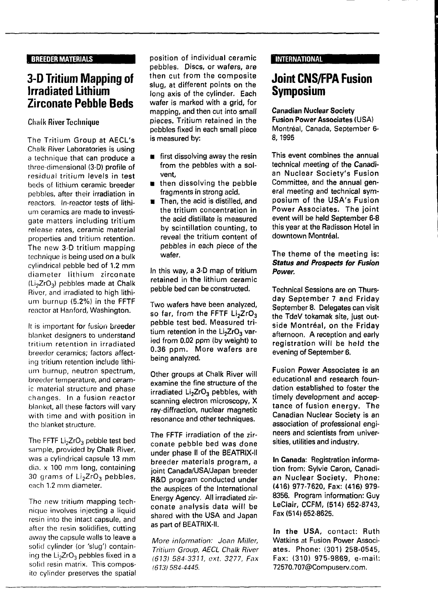## **3-D Tritium Mapping of Irradiated Lithium Zirconate Pebble Beds**

## **Chalk River Technique**

The **Tritium Group at AECL's** Chalk River Laboratories is using a technique that can **produce** a three-dimensional (3-D) profile **of** residual tritium **levels** in **test** beds of lithium ceramic **breeder** pebbles, after their irradiation in reactors. In-reactor tests **of** lithium ceramics are made to investigate matters including tritium release **rates, ceramic material** properties and tritium retention. The new 3-D tritium mapping technique is being used on a **bulk** cylindrical pebble bed of **1.2 mm** diameter lithium zirconate  $(Li<sub>2</sub>ZrO<sub>3</sub>)$  pebbles made at Chalk River, and irradiated to high lithium burnup **(5.2%)** in **the FFTF** reactor at Hanford, Washington.

It is important for fusion breeder blanket designers to understand tritium retention in irradiated breeder ceramics; factors affecting tritium retention include lithium burnup, neutron spectrum, breeder temperature, **and** ceramic material structure and phase changes. In a fusion reactor blanket, all these factors will vary with time and with position in the blanket structure.

The FFTF Li<sub>2</sub>ZrO<sub>3</sub> pebble test bed sample, provided by Chalk River, was a cylindrical capsule **13** mm dia. x 100 mm long, containing 30 grams of  $Li<sub>2</sub>ZrO<sub>3</sub>$  pebbles, each 1.2 mm diameter.

The new tritium mapping technique involves injecting a liquid resin into the intact capsule, and after the resin solidifies, cutting away the capsule walls to leave a solid cylinder (or 'slug') containing the  $Li<sub>2</sub>ZrO<sub>3</sub>$  pebbles fixed in a solid resin matrix. This composite cylinder preserves the spatial **position of individual ceramic pebbles. Discs, or wafers, are then cut from the composite slug, at different points on the long axis of the cylinder. Each wafer is marked with a grid, for mapping, and then cut into small pieces. Tritium retained in the pebbles fixed in each small piece is measured by:**

- **first dissolving away the resin from the pebbles with a solvent,**
- $\blacksquare$  then dissolving the pebble **fragments in strong acid.**
- **Then, the acid is distilled, and the tritium concentration in the acid distillate is measured by scintillation counting, to reveal the tritium content of pebbles in each piece of the wafer.**

**In this way, a 3-D map of tritium retained in the lithium ceramic pebble bed can be constructed.**

**Two wafers have been analyzed, so far, from the FFTF Li2Zr0<sup>3</sup> pebble test bed. Measured tri**tium retention in the Li<sub>2</sub>ZrO<sub>3</sub> var**ied from 0.02 ppm (by weight) to 0.36 ppm. More wafers are being analyzed.**

**Other groups at Chalk River will examine the fine structure of the irradiated Li2Zr03 pebbles, with scanning electron microscopy, X ray-diffraction, nuclear magnetic resonance and other techniques.**

**The FFTF irradiation of the zirconate pebble bed was done under phase II of the BEATRIX-II breeder materials program, a joint Canada/USA/Japan breeder R&D program conducted under the auspices of the International Energy Agency. All irradiated zirconate analysis data will be shared with the USA and Japan as part of BEATRIX-II.**

More information: Joan Miller, Tritium Group, AECL Chalk River (613) 584-3311, ext. 3277, Fax (613)584-4445.

#### **INTERNATIONAL**

## **Joint CNS/FPA Fusion Symposium**

**Canadian Nuclear Society Fusion Power Associates (USA) Montréal, Canada, September 6- 8, 1995**

**This event combines the annual technical meeting of the Canadian Nuclear Society's Fusion Committee, and the annual general meeting and technical symposium of the USA's Fusion Power Associates. The joint event will be held September 6-8 this year at the Radisson Hotel in downtown Montréal.**

#### **The theme of the meeting is: Status and Prospects for Fusion Power.**

**Technical Sessions are on Thursday September 7 and Friday September 8. Delegates can visit the TdeV tokamak site, just outside Montréal, on the Friday afternoon. A reception and early registration will be held the evening of September 6.**

**Fusion Power Associates is an educational and research foundation established to foster the timely development and acceptance of fusion energy. The Canadian Nuclear Society is an association of professional engineers and scientists from universities, utilities and industry.**

**In Canada: Registration information from: Sylvie Caron, Canadian Nuclear Society. Phone: (416) 977-7620, Fax: (416) 979- 8356. Program information: Guy LeClair, CCFM, (514) 652-8743, Fax (514) 652-8625.**

**In the USA,** contact: **Ruth Watkins at Fusion Power Associates. Phone: (301) 258-0545, Fax: (310) 975-9869, e-mail: 72570.707@Compuserv.com.**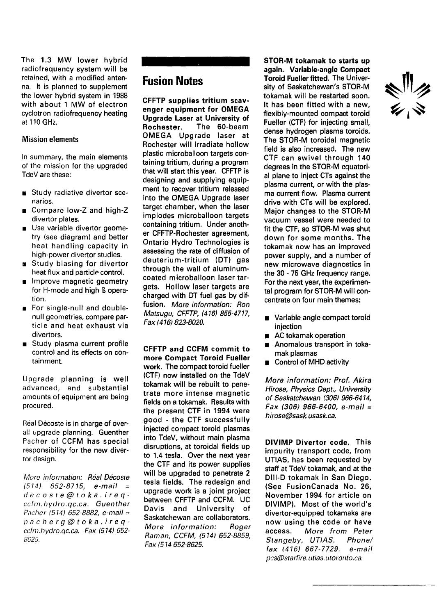The 1.3 MW lower hybrid radiofrequency system will be retained, with a modified antenna. It is planned to supplement the lower hybrid system in 1988 with about 1 MW of electron cyclotron radiofrequency heating at 110 GHz.

#### Mission elements

In summary, the main elements of the mission for the upgraded TdeV are these:

- **B** Study radiative divertor scenarios.
- **Compare low-Z and high-Z** divertor plates.
- **Use variable divertor geome**try (see diagram) and better heat handling capacity in high-power divertor studies.
- $\blacksquare$  Study biasing for divertor heat flux and particle control.
- Improve magnetic geometry for H-mode and high ß operation.
- For single-null and doublenull geometries, compare particle and heat exhaust via divertors.
- Study plasma current profile control and its effects on containment.

Upgrade planning is well advanced, and substantial amounts of equipment are being procured.

Réal Décoste is in charge of overall upgrade planning. Guenther Pacher of CCFM has special responsibility for the new divertor design.

More information: **Real Décoste**  $(514)$  652-8715, e-mail = decoste@toka.ireqccfm. hydro, qc.ca. **Guenther** Pacher (514) **652-8882,** e-mail = pacherg@toka.ireqccfm.hydro.qc.ca. Fax (514) **652-** 8625.

# **Fusion Notes**

**CFFTP supplies tritium scavenger equipment for OMEGA Upgrade Laser at University of Rochester.** The 60-beam OMEGA Upgrade laser at Rochester will irradiate hollow plastic microballoon targets containing tritium, during a program that will start this year. CFFTP is designing and supplying equipment to recover tritium released into the OMEGA Upgrade laser target chamber, when the laser implodes microballoon targets containing tritium. Under another CFFTP-Rochester agreement, Ontario Hydro Technologies is assessing the rate of diffusion of deuterium-tritium (DT) gas through the wall of aluminumcoated microballoon laser targets. Hollow laser targets are charged with DT fuel gas by diffusion. **More information: Ron Matsugu, CFFTP, (416) 855-4717, Fax (416) 823-8020.**

**CFFTP and CCFM commit to more Compact Toroid Fueller work.** The compact toroid fueller (CTF) now installed on the TdeV tokamak will be rebuilt to penetrate more intense magnetic fields on a tokamak. Results with the present CTF in 1994 were good - the CTF successfully injected compact toroid plasmas into TdeV, without main plasma disruptions, at toroidal fields up to 1.4 tesla. Over the next year the CTF and its power supplies will be upgraded to penetrate 2 tesla fields. The redesign and upgrade work is a joint project between CFFTP and CCFM. UC Davis and University of Saskatchewan are collaborators. **More information: Roger Raman, CCFM, (514) 652-8859, Fax (514 652-8625.**

**STOR-M tokamak to starts up again. Variable-angle Compact Toroid Fueller fitted.** The University of Saskatchewan's STOR-M tokamak will be restarted soon. It has been fitted with a new, flexibly-mounted compact toroid Fueller (CTF) for injecting small, dense hydrogen plasma toroids. The STOR-M toroidal magnetic field is also increased. The new CTF can swivel through 140 degrees in the STOR-M equatorial plane to inject CTs against the plasma current, or with the plasma current flow. Plasma current drive with CTs will be explored. Major changes to the STOR-M vacuum vessel were needed to fit the CTF, so STOR-M was shut down for some months. The tokamak now has an improved power supply, and a number of new microwave diagnostics in the 30 - 75 GHz frequency range. For the next year, the experimental program for STOR-M will concentrate on four main themes:

- **Variable angle compact toroid** injection
- AC tokamak operation
- Anomalous transport in tokamak plasmas
- **Control of MHD activity**

**More information: Prof. Akira Hirose, Physics Dept, University of Saskatchewan (306) 966-6414, Fax (306) 966-6400, e-mail = hirose@sask.usask.ca.**

**DIVIMP Divertor code.** This impurity transport code, from UTIAS, has been requested by staff at TdeV tokamak, and at the Dlll-D tokamak in San Diego. (See FusionCanada No. 26, November 1994 for article on DIVIMP). Most of the world's divertor-equipped tokamaks are now using the code or have **access. More from Peter Stangeby, UTIAS. Phone/ fax (416) 667-7729. e-mail** pcs@starfire.utias.utoronto.ca.